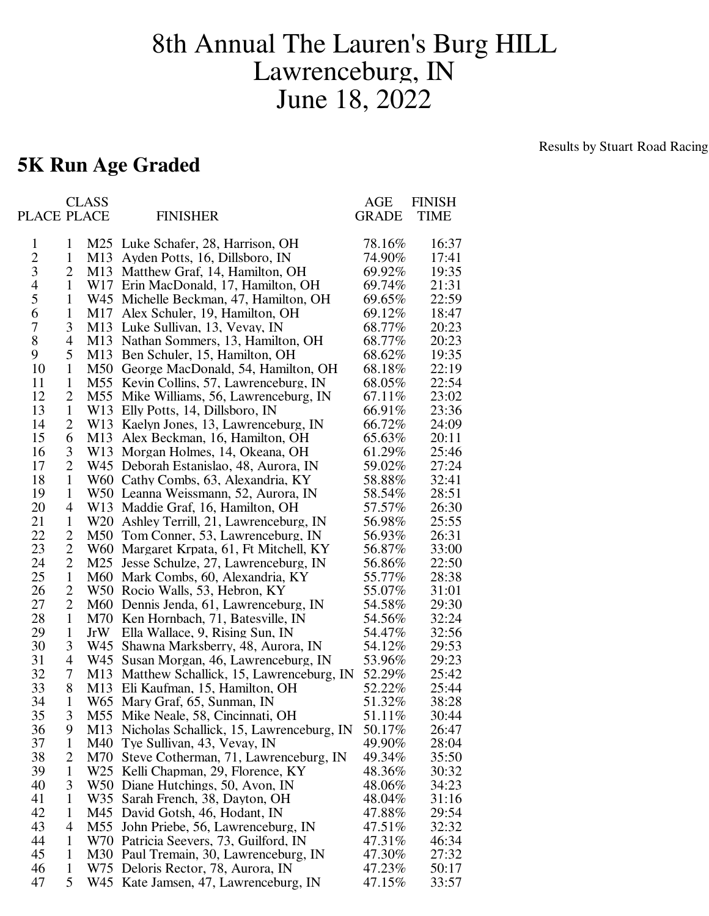## 8th Annual The Lauren's Burg HILL Lawrenceburg, IN June 18, 2022

## **5K Run Age Graded**

Results by Stuart Road Racing

|                |                   | <b>CLASS</b>    |                                                                              | AGE               | <b>FINISH</b>  |
|----------------|-------------------|-----------------|------------------------------------------------------------------------------|-------------------|----------------|
| PLACE PLACE    |                   |                 | <b>FINISHER</b>                                                              | <b>GRADE</b>      | TIME           |
| $\mathbf{1}$   | 1                 |                 | M25 Luke Schafer, 28, Harrison, OH                                           | 78.16%            | 16:37          |
| $\overline{c}$ | 1                 | M <sub>13</sub> | Ayden Potts, 16, Dillsboro, IN                                               | 74.90%            | 17:41          |
| 3              | 2                 | M13             | Matthew Graf, 14, Hamilton, OH                                               | 69.92%            | 19:35          |
| 4              | 1                 | W17             | Erin MacDonald, 17, Hamilton, OH                                             | 69.74%            | 21:31          |
| 5              | $\mathbf{1}$      |                 | W45 Michelle Beckman, 47, Hamilton, OH                                       | 69.65%            | 22:59          |
| 6              | $\mathbf{1}$      | M17             | Alex Schuler, 19, Hamilton, OH                                               | 69.12%            | 18:47          |
| 7              | 3                 |                 | M13 Luke Sullivan, 13, Vevay, IN                                             | 68.77%            | 20:23          |
| 8              | 4                 | M13             | Nathan Sommers, 13, Hamilton, OH                                             | 68.77%            | 20:23          |
| 9              | 5                 | M <sub>13</sub> | Ben Schuler, 15, Hamilton, OH                                                | 68.62%            | 19:35          |
| 10             | $\mathbf{1}$      | M50             | George MacDonald, 54, Hamilton, OH                                           | 68.18%            | 22:19          |
| 11             | $\mathbf{1}$      | M55             | Kevin Collins, 57, Lawrenceburg, IN                                          | 68.05%            | 22:54          |
| 12             | 2                 | M55             | Mike Williams, 56, Lawrenceburg, IN                                          | 67.11\%           | 23:02          |
| 13             | $\mathbf{1}$      | W <sub>13</sub> | Elly Potts, 14, Dillsboro, IN                                                | 66.91%            | 23:36          |
| 14             | 2                 | W13             | Kaelyn Jones, 13, Lawrenceburg, IN                                           | 66.72%            | 24:09          |
| 15             | 6                 | M13             | Alex Beckman, 16, Hamilton, OH                                               | 65.63%            | 20:11          |
| 16             | 3                 | W <sub>13</sub> | Morgan Holmes, 14, Okeana, OH                                                | 61.29%            | 25:46          |
| 17             | $\overline{2}$    | W45             | Deborah Estanislao, 48, Aurora, IN                                           | 59.02%            | 27:24          |
| 18             | $\mathbf{1}$      |                 | W60 Cathy Combs, 63, Alexandria, KY                                          | 58.88%            | 32:41          |
| 19             | $\mathbf{1}$      |                 | W50 Leanna Weissmann, 52, Aurora, IN                                         | 58.54%            | 28:51          |
| 20             | 4                 | W13             | Maddie Graf, 16, Hamilton, OH                                                | 57.57%            | 26:30          |
| 21             | $\mathbf{1}$      | W <sub>20</sub> | Ashley Terrill, 21, Lawrenceburg, IN                                         | 56.98%            | 25:55          |
| 22             | $\overline{2}$    | M50             | Tom Conner, 53, Lawrenceburg, IN                                             | 56.93%            | 26:31          |
| 23             | $\overline{2}$    | W60             | Margaret Krpata, 61, Ft Mitchell, KY                                         | 56.87%            | 33:00          |
| 24             | $\overline{2}$    | M25             | Jesse Schulze, 27, Lawrenceburg, IN                                          | 56.86%            | 22:50          |
| 25             | $\mathbf{1}$      | M60             | Mark Combs, 60, Alexandria, KY                                               | 55.77%            | 28:38          |
| 26             | $\overline{2}$    |                 | W50 Rocio Walls, 53, Hebron, KY                                              | 55.07%            | 31:01          |
| 27             | 2                 | M60             | Dennis Jenda, 61, Lawrenceburg, IN                                           | 54.58%            | 29:30          |
| 28             | $\mathbf{1}$      | M70             | Ken Hornbach, 71, Batesville, IN                                             | 54.56%            | 32:24          |
| 29             | $\mathbf{1}$      | JrW             | Ella Wallace, 9, Rising Sun, IN                                              | 54.47%            | 32:56          |
| 30             | 3                 | W45             | Shawna Marksberry, 48, Aurora, IN                                            | 54.12%            | 29:53          |
| 31             | 4                 | W45             | Susan Morgan, 46, Lawrenceburg, IN                                           | 53.96%            | 29:23          |
| 32             | 7                 | M13             | Matthew Schallick, 15, Lawrenceburg, IN                                      | 52.29%            | 25:42          |
| 33             | 8                 | M13             | Eli Kaufman, 15, Hamilton, OH                                                | 52.22%            | 25:44          |
| 34             | $\mathbf{1}$      |                 | W65 Mary Graf, 65, Sunman, IN                                                | 51.32%            | 38:28          |
| 35             | 3                 | M13             | M55 Mike Neale, 58, Cincinnati, OH                                           | 51.11\%<br>50.17% | 30:44          |
| 36<br>37       | 9<br>$\mathbf{1}$ | M40             | Nicholas Schallick, 15, Lawrenceburg, IN<br>Tye Sullivan, 43, Vevay, IN      | 49.90%            | 26:47<br>28:04 |
| 38             | 2                 | M70             |                                                                              | 49.34%            | 35:50          |
| 39             | $\mathbf{1}$      |                 | Steve Cotherman, 71, Lawrenceburg, IN<br>W25 Kelli Chapman, 29, Florence, KY | 48.36%            | 30:32          |
| 40             | 3                 |                 | W50 Diane Hutchings, 50, Avon, IN                                            | 48.06%            | 34:23          |
| 41             | 1                 | W35             | Sarah French, 38, Dayton, OH                                                 | 48.04%            | 31:16          |
| 42             | 1                 | M45             | David Gotsh, 46, Hodant, IN                                                  | 47.88%            | 29:54          |
| 43             | 4                 | M55             | John Priebe, 56, Lawrenceburg, IN                                            | 47.51%            | 32:32          |
| 44             | 1                 |                 | W70 Patricia Seevers, 73, Guilford, IN                                       | 47.31%            | 46:34          |
| 45             | 1                 |                 | M30 Paul Tremain, 30, Lawrenceburg, IN                                       | 47.30%            | 27:32          |
| 46             | $\mathbf{1}$      |                 | W75 Deloris Rector, 78, Aurora, IN                                           | 47.23%            | 50:17          |
| 47             | 5                 |                 | W45 Kate Jamsen, 47, Lawrenceburg, IN                                        | 47.15%            | 33:57          |